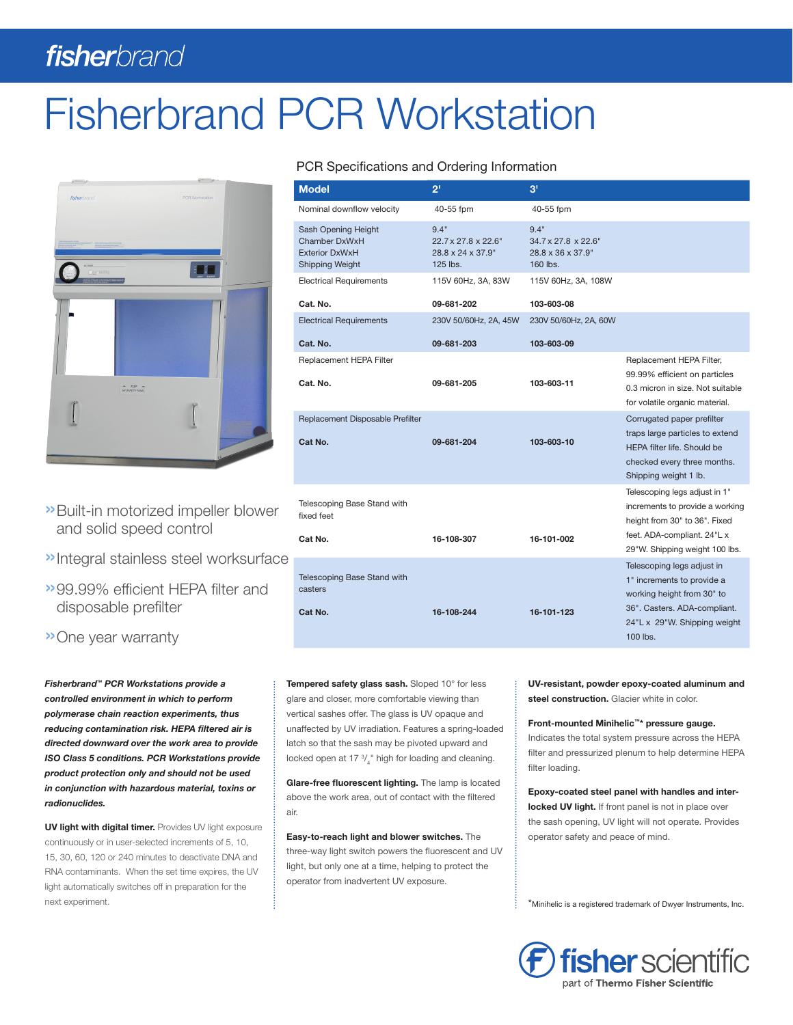# fisherbrand

# Fisherbrand PCR Workstation



- »Built-in motorized impeller blower and solid speed control
- »Integral stainless steel worksurface
- »99.99% efficient HEPA filter and disposable prefilter

»One year warranty

*Fisherbrand™ PCR Workstations provide a controlled environment in which to perform polymerase chain reaction experiments, thus reducing contamination risk. HEPA filtered air is directed downward over the work area to provide ISO Class 5 conditions. PCR Workstations provide product protection only and should not be used in conjunction with hazardous material, toxins or radionuclides.*

UV light with digital timer. Provides UV light exposure continuously or in user-selected increments of 5, 10, 15, 30, 60, 120 or 240 minutes to deactivate DNA and RNA contaminants. When the set time expires, the UV light automatically switches off in preparation for the next experiment.

## PCR Specifications and Ordering Information

| <b>Model</b>                                                                            | 2 <sup>1</sup>                                                              | 3 <sup>1</sup>                                                                           |                                                                                                                                                                    |
|-----------------------------------------------------------------------------------------|-----------------------------------------------------------------------------|------------------------------------------------------------------------------------------|--------------------------------------------------------------------------------------------------------------------------------------------------------------------|
| Nominal downflow velocity                                                               | 40-55 fpm                                                                   | 40-55 fpm                                                                                |                                                                                                                                                                    |
| Sash Opening Height<br>Chamber DxWxH<br><b>Exterior DxWxH</b><br><b>Shipping Weight</b> | 9.4"<br>$22.7 \times 27.8 \times 22.6$ "<br>28.8 x 24 x 37.9"<br>$125$ lbs. | 9.4"<br>$34.7 \times 27.8 \times 22.6$ "<br>$28.8 \times 36 \times 37.9$ "<br>$160$ lbs. |                                                                                                                                                                    |
| <b>Electrical Requirements</b>                                                          | 115V 60Hz, 3A, 83W                                                          | 115V 60Hz, 3A, 108W                                                                      |                                                                                                                                                                    |
| Cat. No.                                                                                | 09-681-202                                                                  | 103-603-08                                                                               |                                                                                                                                                                    |
| <b>Electrical Requirements</b>                                                          | 230V 50/60Hz, 2A, 45W                                                       | 230V 50/60Hz, 2A, 60W                                                                    |                                                                                                                                                                    |
| Cat. No.                                                                                | 09-681-203                                                                  | 103-603-09                                                                               |                                                                                                                                                                    |
| Replacement HEPA Filter<br>Cat. No.                                                     | 09-681-205                                                                  | 103-603-11                                                                               | Replacement HEPA Filter,<br>99.99% efficient on particles<br>0.3 micron in size. Not suitable<br>for volatile organic material.                                    |
| Replacement Disposable Prefilter<br>Cat No.                                             | 09-681-204                                                                  | 103-603-10                                                                               | Corrugated paper prefilter<br>traps large particles to extend<br><b>HEPA filter life. Should be</b><br>checked every three months.<br>Shipping weight 1 lb.        |
| Telescoping Base Stand with<br>fixed feet<br>Cat No.                                    | 16-108-307                                                                  | 16-101-002                                                                               | Telescoping legs adjust in 1"<br>increments to provide a working<br>height from 30" to 36". Fixed<br>feet. ADA-compliant. 24"L x<br>29"W. Shipping weight 100 lbs. |
| <b>Telescoping Base Stand with</b><br>casters<br>Cat No.                                | 16-108-244                                                                  | 16-101-123                                                                               | Telescoping legs adjust in<br>1" increments to provide a<br>working height from 30" to<br>36". Casters. ADA-compliant.<br>24"L x 29"W. Shipping weight<br>100 lbs. |

Tempered safety glass sash. Sloped 10° for less glare and closer, more comfortable viewing than vertical sashes offer. The glass is UV opaque and unaffected by UV irradiation. Features a spring-loaded latch so that the sash may be pivoted upward and locked open at 17  $\frac{3}{4}$ " high for loading and cleaning.

Glare-free fluorescent lighting. The lamp is located above the work area, out of contact with the filtered air.

Easy-to-reach light and blower switches. The three-way light switch powers the fluorescent and UV light, but only one at a time, helping to protect the operator from inadvertent UV exposure.

UV-resistant, powder epoxy-coated aluminum and steel construction. Glacier white in color.

#### Front-mounted Minihelic™\* pressure gauge.

Indicates the total system pressure across the HEPA filter and pressurized plenum to help determine HEPA filter loading.

Epoxy-coated steel panel with handles and interlocked UV light. If front panel is not in place over the sash opening, UV light will not operate. Provides operator safety and peace of mind.

\*Minihelic is a registered trademark of Dwyer Instruments, Inc.